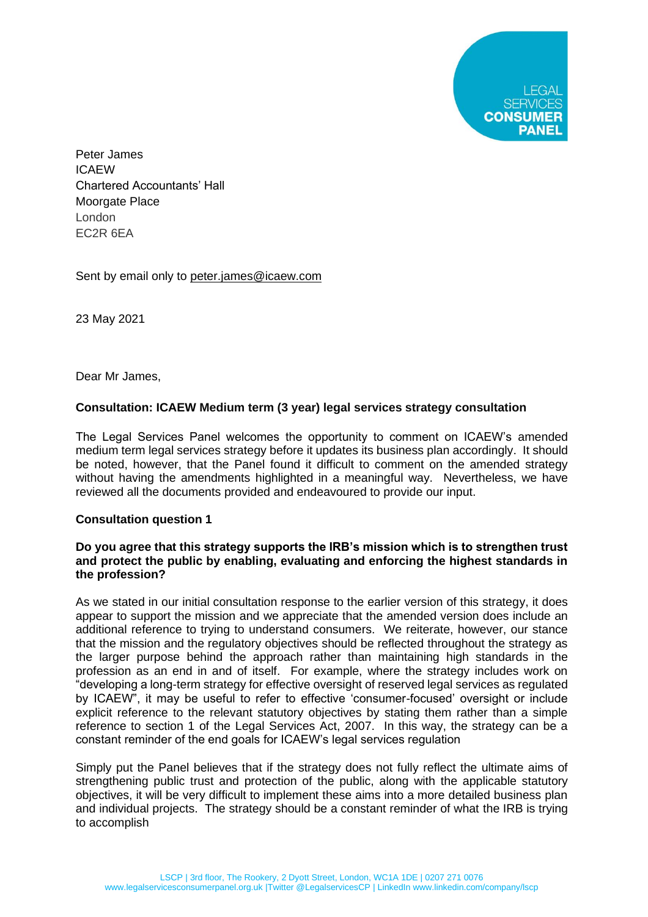**CONSUMER PANEL** 

Peter James ICAEW Chartered Accountants' Hall Moorgate Place London EC2R 6EA

Sent by email only to [peter.james@icaew.com](mailto:peter.james@icaew.com)

23 May 2021

Dear Mr James,

# **Consultation: ICAEW Medium term (3 year) legal services strategy consultation**

The Legal Services Panel welcomes the opportunity to comment on ICAEW's amended medium term legal services strategy before it updates its business plan accordingly. It should be noted, however, that the Panel found it difficult to comment on the amended strategy without having the amendments highlighted in a meaningful way. Nevertheless, we have reviewed all the documents provided and endeavoured to provide our input.

### **Consultation question 1**

### **Do you agree that this strategy supports the IRB's mission which is to strengthen trust and protect the public by enabling, evaluating and enforcing the highest standards in the profession?**

As we stated in our initial consultation response to the earlier version of this strategy, it does appear to support the mission and we appreciate that the amended version does include an additional reference to trying to understand consumers. We reiterate, however, our stance that the mission and the regulatory objectives should be reflected throughout the strategy as the larger purpose behind the approach rather than maintaining high standards in the profession as an end in and of itself. For example, where the strategy includes work on "developing a long-term strategy for effective oversight of reserved legal services as regulated by ICAEW", it may be useful to refer to effective 'consumer-focused' oversight or include explicit reference to the relevant statutory objectives by stating them rather than a simple reference to section 1 of the Legal Services Act, 2007. In this way, the strategy can be a constant reminder of the end goals for ICAEW's legal services regulation

Simply put the Panel believes that if the strategy does not fully reflect the ultimate aims of strengthening public trust and protection of the public, along with the applicable statutory objectives, it will be very difficult to implement these aims into a more detailed business plan and individual projects. The strategy should be a constant reminder of what the IRB is trying to accomplish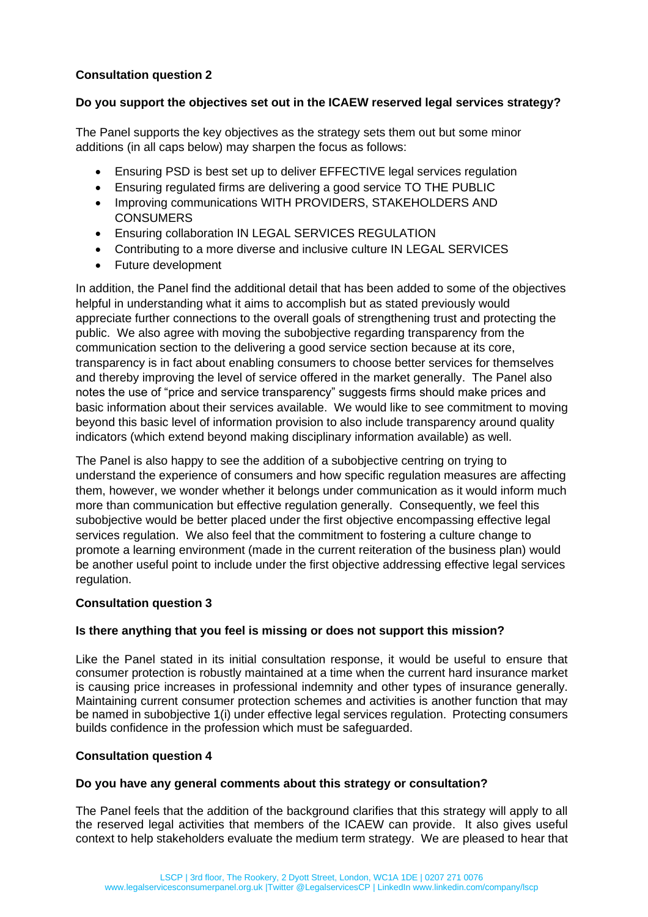# **Consultation question 2**

### **Do you support the objectives set out in the ICAEW reserved legal services strategy?**

The Panel supports the key objectives as the strategy sets them out but some minor additions (in all caps below) may sharpen the focus as follows:

- Ensuring PSD is best set up to deliver EFFECTIVE legal services regulation
- Ensuring regulated firms are delivering a good service TO THE PUBLIC
- Improving communications WITH PROVIDERS, STAKEHOLDERS AND **CONSUMERS**
- Ensuring collaboration IN LEGAL SERVICES REGULATION
- Contributing to a more diverse and inclusive culture IN LEGAL SERVICES
- Future development

In addition, the Panel find the additional detail that has been added to some of the objectives helpful in understanding what it aims to accomplish but as stated previously would appreciate further connections to the overall goals of strengthening trust and protecting the public. We also agree with moving the subobjective regarding transparency from the communication section to the delivering a good service section because at its core, transparency is in fact about enabling consumers to choose better services for themselves and thereby improving the level of service offered in the market generally. The Panel also notes the use of "price and service transparency" suggests firms should make prices and basic information about their services available. We would like to see commitment to moving beyond this basic level of information provision to also include transparency around quality indicators (which extend beyond making disciplinary information available) as well.

The Panel is also happy to see the addition of a subobjective centring on trying to understand the experience of consumers and how specific regulation measures are affecting them, however, we wonder whether it belongs under communication as it would inform much more than communication but effective regulation generally. Consequently, we feel this subobjective would be better placed under the first objective encompassing effective legal services regulation. We also feel that the commitment to fostering a culture change to promote a learning environment (made in the current reiteration of the business plan) would be another useful point to include under the first objective addressing effective legal services regulation.

# **Consultation question 3**

# **Is there anything that you feel is missing or does not support this mission?**

Like the Panel stated in its initial consultation response, it would be useful to ensure that consumer protection is robustly maintained at a time when the current hard insurance market is causing price increases in professional indemnity and other types of insurance generally. Maintaining current consumer protection schemes and activities is another function that may be named in subobjective 1(i) under effective legal services regulation. Protecting consumers builds confidence in the profession which must be safeguarded.

### **Consultation question 4**

### **Do you have any general comments about this strategy or consultation?**

The Panel feels that the addition of the background clarifies that this strategy will apply to all the reserved legal activities that members of the ICAEW can provide. It also gives useful context to help stakeholders evaluate the medium term strategy. We are pleased to hear that